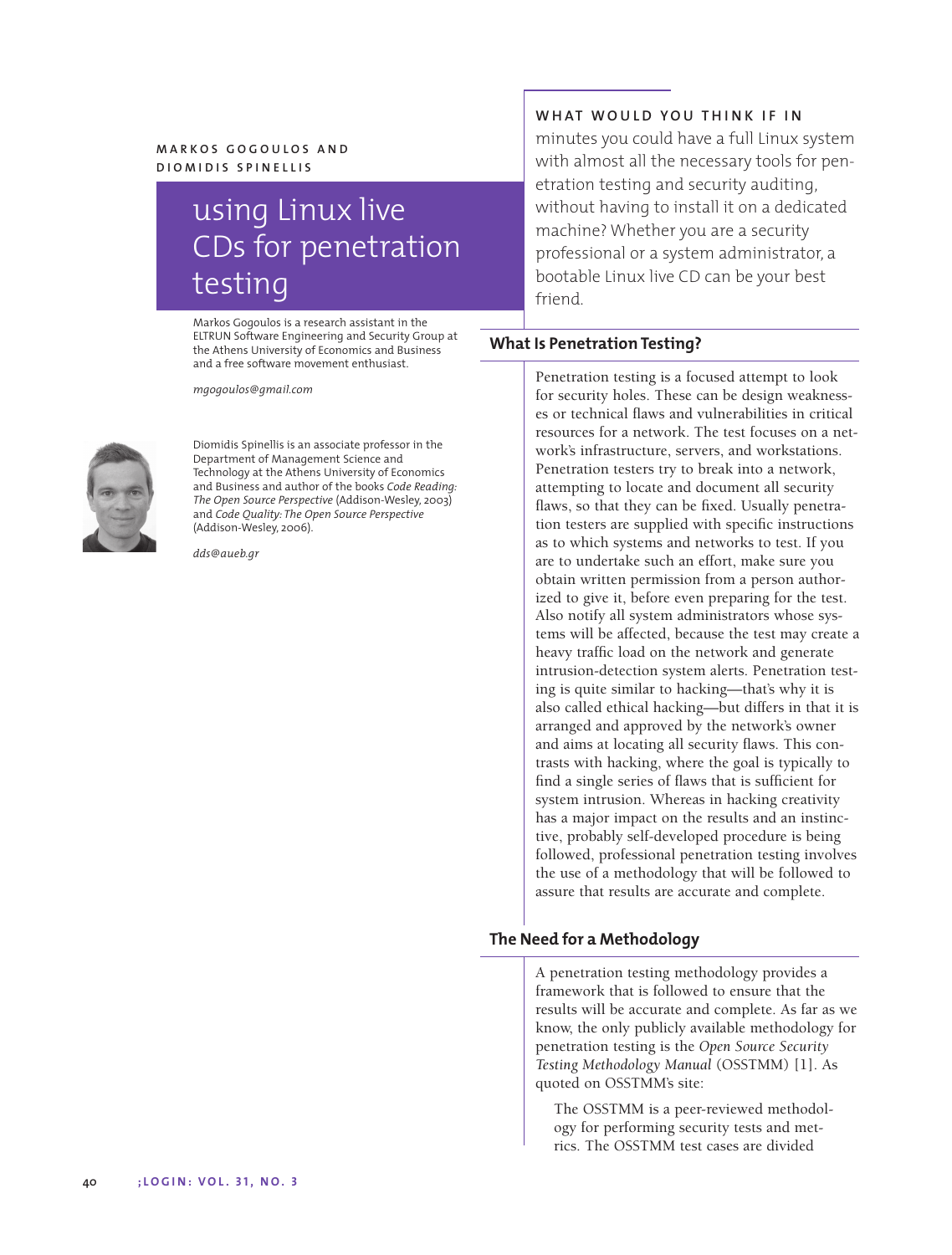# **MARKOS GOGOULOS AND DIOMIDIS SPINELLIS**

# using Linux live CDs for penetration testing

Markos Gogoulos is a research assistant in the ELTRUN Software Engineering and Security Group at the Athens University of Economics and Business and a free software movement enthusiast.

*mgogoulos@gmail.com*



Diomidis Spinellis is an associate professor in the Department of Management Science and Technology at the Athens University of Economics and Business and author of the books *Code Reading: The Open Source Perspective* (Addison-Wesley, 2003) and *Code Quality: The Open Source Perspective* (Addison-Wesley, 2006).

*dds@aueb.gr*

# **WHAT WOULD YOU THINK IF IN**

minutes you could have a full Linux system with almost all the necessary tools for penetration testing and security auditing, without having to install it on a dedicated machine? Whether you are a security professional or a system administrator, a bootable Linux live CD can be your best friend.

# **What Is Penetration Testing?**

Penetration testing is a focused attempt to look for security holes. These can be design weaknesses or technical flaws and vulnerabilities in critical resources for a network. The test focuses on a network's infrastructure, servers, and workstations. Penetration testers try to break into a network, attempting to locate and document all security flaws, so that they can be fixed. Usually penetration testers are supplied with specific instructions as to which systems and networks to test. If you are to undertake such an effort, make sure you obtain written permission from a person authorized to give it, before even preparing for the test. Also notify all system administrators whose systems will be affected, because the test may create a heavy traffic load on the network and generate intrusion-detection system alerts. Penetration testing is quite similar to hacking—that's why it is also called ethical hacking—but differs in that it is arranged and approved by the network's owner and aims at locating all security flaws. This contrasts with hacking, where the goal is typically to find a single series of flaws that is sufficient for system intrusion. Whereas in hacking creativity has a major impact on the results and an instinctive, probably self-developed procedure is being followed, professional penetration testing involves the use of a methodology that will be followed to assure that results are accurate and complete.

# **The Need for a Methodology**

A penetration testing methodology provides a framework that is followed to ensure that the results will be accurate and complete. As far as we know, the only publicly available methodology for penetration testing is the *Open Source Security Testing Methodology Manual* (OSSTMM) [1]. As quoted on OSSTMM's site:

The OSSTMM is a peer-reviewed methodology for performing security tests and metrics. The OSSTMM test cases are divided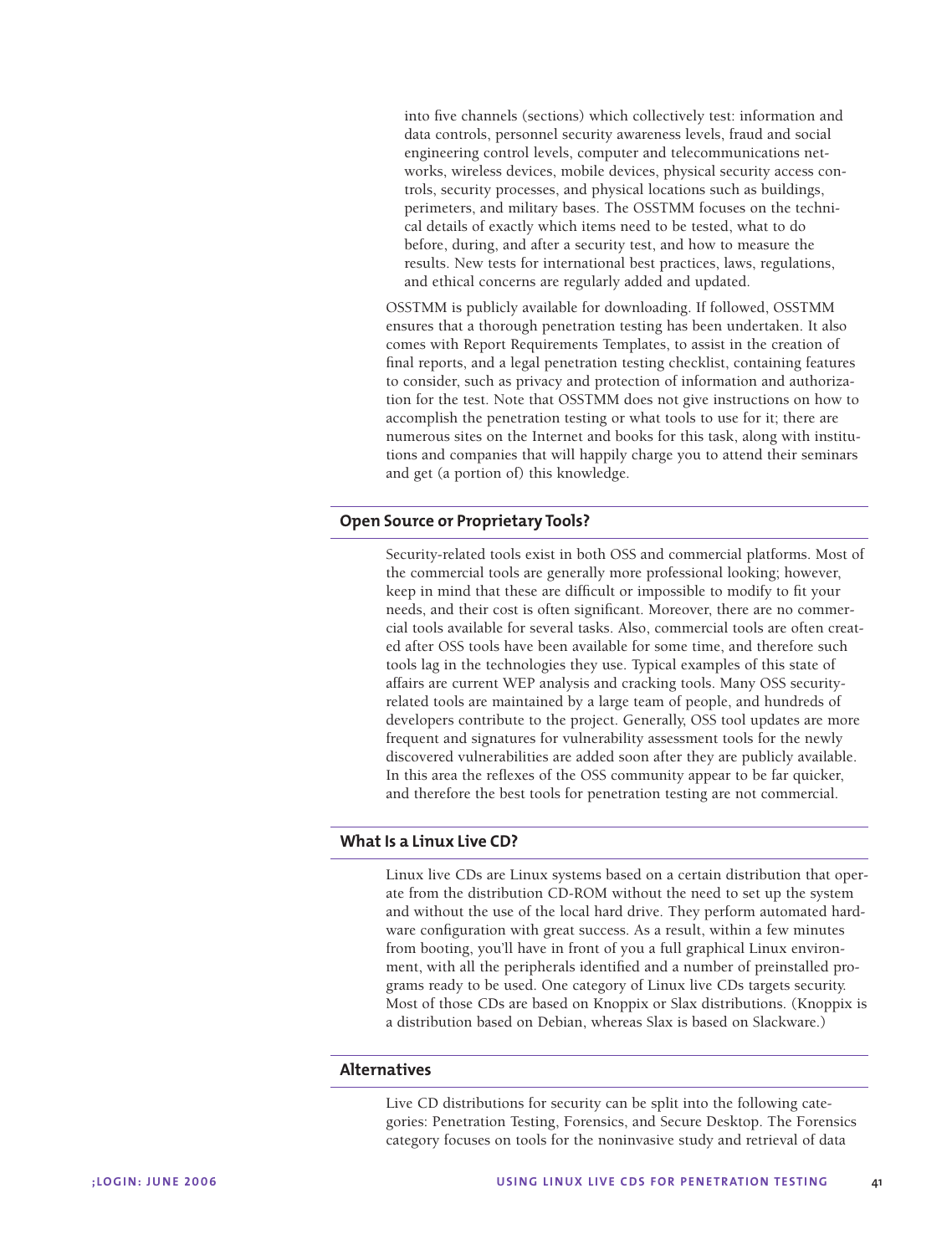into five channels (sections) which collectively test: information and data controls, personnel security awareness levels, fraud and social engineering control levels, computer and telecommunications networks, wireless devices, mobile devices, physical security access controls, security processes, and physical locations such as buildings, perimeters, and military bases. The OSSTMM focuses on the technical details of exactly which items need to be tested, what to do before, during, and after a security test, and how to measure the results. New tests for international best practices, laws, regulations, and ethical concerns are regularly added and updated.

OSSTMM is publicly available for downloading. If followed, OSSTMM ensures that a thorough penetration testing has been undertaken. It also comes with Report Requirements Templates, to assist in the creation of final reports, and a legal penetration testing checklist, containing features to consider, such as privacy and protection of information and authorization for the test. Note that OSSTMM does not give instructions on how to accomplish the penetration testing or what tools to use for it; there are numerous sites on the Internet and books for this task, along with institutions and companies that will happily charge you to attend their seminars and get (a portion of) this knowledge.

#### **Open Source or Proprietary Tools?**

Security-related tools exist in both OSS and commercial platforms. Most of the commercial tools are generally more professional looking; however, keep in mind that these are difficult or impossible to modify to fit your needs, and their cost is often significant. Moreover, there are no commercial tools available for several tasks. Also, commercial tools are often created after OSS tools have been available for some time, and therefore such tools lag in the technologies they use. Typical examples of this state of affairs are current WEP analysis and cracking tools. Many OSS securityrelated tools are maintained by a large team of people, and hundreds of developers contribute to the project. Generally, OSS tool updates are more frequent and signatures for vulnerability assessment tools for the newly discovered vulnerabilities are added soon after they are publicly available. In this area the reflexes of the OSS community appear to be far quicker, and therefore the best tools for penetration testing are not commercial.

#### **What Is a Linux Live CD?**

Linux live CDs are Linux systems based on a certain distribution that operate from the distribution CD-ROM without the need to set up the system and without the use of the local hard drive. They perform automated hardware configuration with great success. As a result, within a few minutes from booting, you'll have in front of you a full graphical Linux environment, with all the peripherals identified and a number of preinstalled programs ready to be used. One category of Linux live CDs targets security. Most of those CDs are based on Knoppix or Slax distributions. (Knoppix is a distribution based on Debian, whereas Slax is based on Slackware.)

#### **Alternatives**

Live CD distributions for security can be split into the following categories: Penetration Testing, Forensics, and Secure Desktop. The Forensics category focuses on tools for the noninvasive study and retrieval of data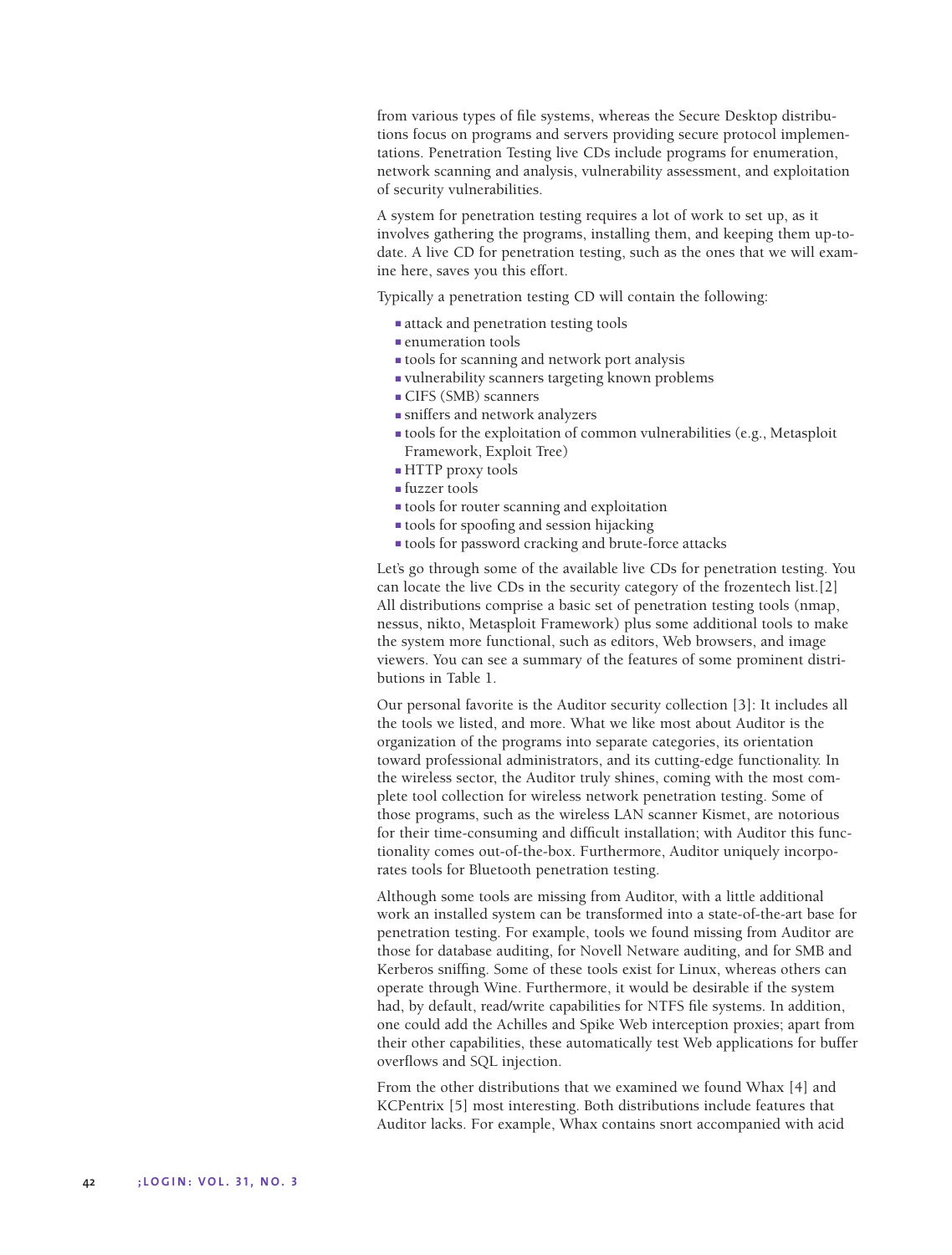from various types of file systems, whereas the Secure Desktop distributions focus on programs and servers providing secure protocol implementations. Penetration Testing live CDs include programs for enumeration, network scanning and analysis, vulnerability assessment, and exploitation of security vulnerabilities.

A system for penetration testing requires a lot of work to set up, as it involves gathering the programs, installing them, and keeping them up-todate. A live CD for penetration testing, such as the ones that we will examine here, saves you this effort.

Typically a penetration testing CD will contain the following:

- attack and penetration testing tools
- enumeration tools
- tools for scanning and network port analysis
- vulnerability scanners targeting known problems
- CIFS (SMB) scanners
- sniffers and network analyzers
- tools for the exploitation of common vulnerabilities (e.g., Metasploit Framework, Exploit Tree)
- HTTP proxy tools
- fuzzer tools
- tools for router scanning and exploitation
- tools for spoofing and session hijacking
- tools for password cracking and brute-force attacks

Let's go through some of the available live CDs for penetration testing. You can locate the live CDs in the security category of the frozentech list.[2] All distributions comprise a basic set of penetration testing tools (nmap, nessus, nikto, Metasploit Framework) plus some additional tools to make the system more functional, such as editors, Web browsers, and image viewers. You can see a summary of the features of some prominent distributions in Table 1.

Our personal favorite is the Auditor security collection [3]: It includes all the tools we listed, and more. What we like most about Auditor is the organization of the programs into separate categories, its orientation toward professional administrators, and its cutting-edge functionality. In the wireless sector, the Auditor truly shines, coming with the most complete tool collection for wireless network penetration testing. Some of those programs, such as the wireless LAN scanner Kismet, are notorious for their time-consuming and difficult installation; with Auditor this functionality comes out-of-the-box. Furthermore, Auditor uniquely incorporates tools for Bluetooth penetration testing.

Although some tools are missing from Auditor, with a little additional work an installed system can be transformed into a state-of-the-art base for penetration testing. For example, tools we found missing from Auditor are those for database auditing, for Novell Netware auditing, and for SMB and Kerberos sniffing. Some of these tools exist for Linux, whereas others can operate through Wine. Furthermore, it would be desirable if the system had, by default, read/write capabilities for NTFS file systems. In addition, one could add the Achilles and Spike Web interception proxies; apart from their other capabilities, these automatically test Web applications for buffer overflows and SQL injection.

From the other distributions that we examined we found Whax [4] and KCPentrix [5] most interesting. Both distributions include features that Auditor lacks. For example, Whax contains snort accompanied with acid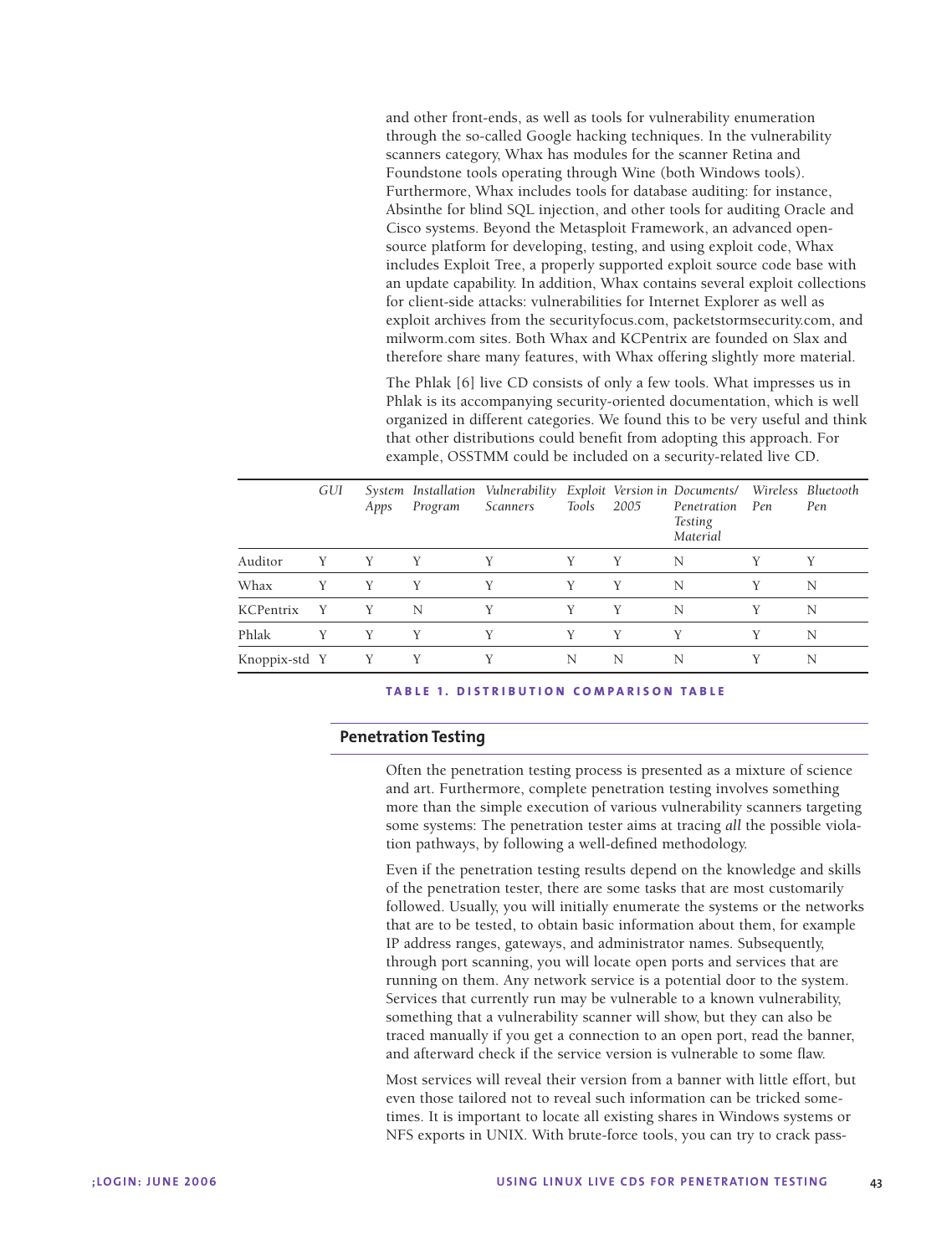and other front-ends, as well as tools for vulnerability enumeration through the so-called Google hacking techniques. In the vulnerability scanners category, Whax has modules for the scanner Retina and Foundstone tools operating through Wine (both Windows tools). Furthermore, Whax includes tools for database auditing: for instance, Absinthe for blind SQL injection, and other tools for auditing Oracle and Cisco systems. Beyond the Metasploit Framework, an advanced opensource platform for developing, testing, and using exploit code, Whax includes Exploit Tree, a properly supported exploit source code base with an update capability. In addition, Whax contains several exploit collections for client-side attacks: vulnerabilities for Internet Explorer as well as exploit archives from the securityfocus.com, packetstormsecurity.com, and milworm.com sites. Both Whax and KCPentrix are founded on Slax and therefore share many features, with Whax offering slightly more material.

The Phlak [6] live CD consists of only a few tools. What impresses us in Phlak is its accompanying security-oriented documentation, which is well organized in different categories. We found this to be very useful and think that other distributions could benefit from adopting this approach. For example, OSSTMM could be included on a security-related live CD.

|               | GUI | Apps | Program | System Installation Vulnerability Exploit Version in Documents/ Wireless Bluetooth<br><b>Scanners</b> | Tools | 2005 | Penetration<br><b>Testing</b><br>Material | Pen | Pen |
|---------------|-----|------|---------|-------------------------------------------------------------------------------------------------------|-------|------|-------------------------------------------|-----|-----|
| Auditor       | Y   | Y    | Y       | Y                                                                                                     | Y     | Y    | N                                         | Y   | Y   |
| Whax          | Y   | Y    | Y       | Y                                                                                                     | Y     | Y    | N                                         | Y   | N   |
| KCPentrix     | Y   | Y    | N       | Y                                                                                                     | Y     | Y    | N                                         | Y   | N   |
| Phlak         | Y   | Y    | Y       | Y                                                                                                     | Y     | Y    | Y                                         | Y   | N   |
| Knoppix-std Y |     | Y    | Y       | Y                                                                                                     | N     | N    | N                                         | Y   | N   |

#### **TABLE 1. DISTRIBUTION COMPARISON TABLE**

# **Penetration Testing**

Often the penetration testing process is presented as a mixture of science and art. Furthermore, complete penetration testing involves something more than the simple execution of various vulnerability scanners targeting some systems: The penetration tester aims at tracing *all* the possible violation pathways, by following a well-defined methodology.

Even if the penetration testing results depend on the knowledge and skills of the penetration tester, there are some tasks that are most customarily followed. Usually, you will initially enumerate the systems or the networks that are to be tested, to obtain basic information about them, for example IP address ranges, gateways, and administrator names. Subsequently, through port scanning, you will locate open ports and services that are running on them. Any network service is a potential door to the system. Services that currently run may be vulnerable to a known vulnerability, something that a vulnerability scanner will show, but they can also be traced manually if you get a connection to an open port, read the banner, and afterward check if the service version is vulnerable to some flaw.

Most services will reveal their version from a banner with little effort, but even those tailored not to reveal such information can be tricked sometimes. It is important to locate all existing shares in Windows systems or NFS exports in UNIX. With brute-force tools, you can try to crack pass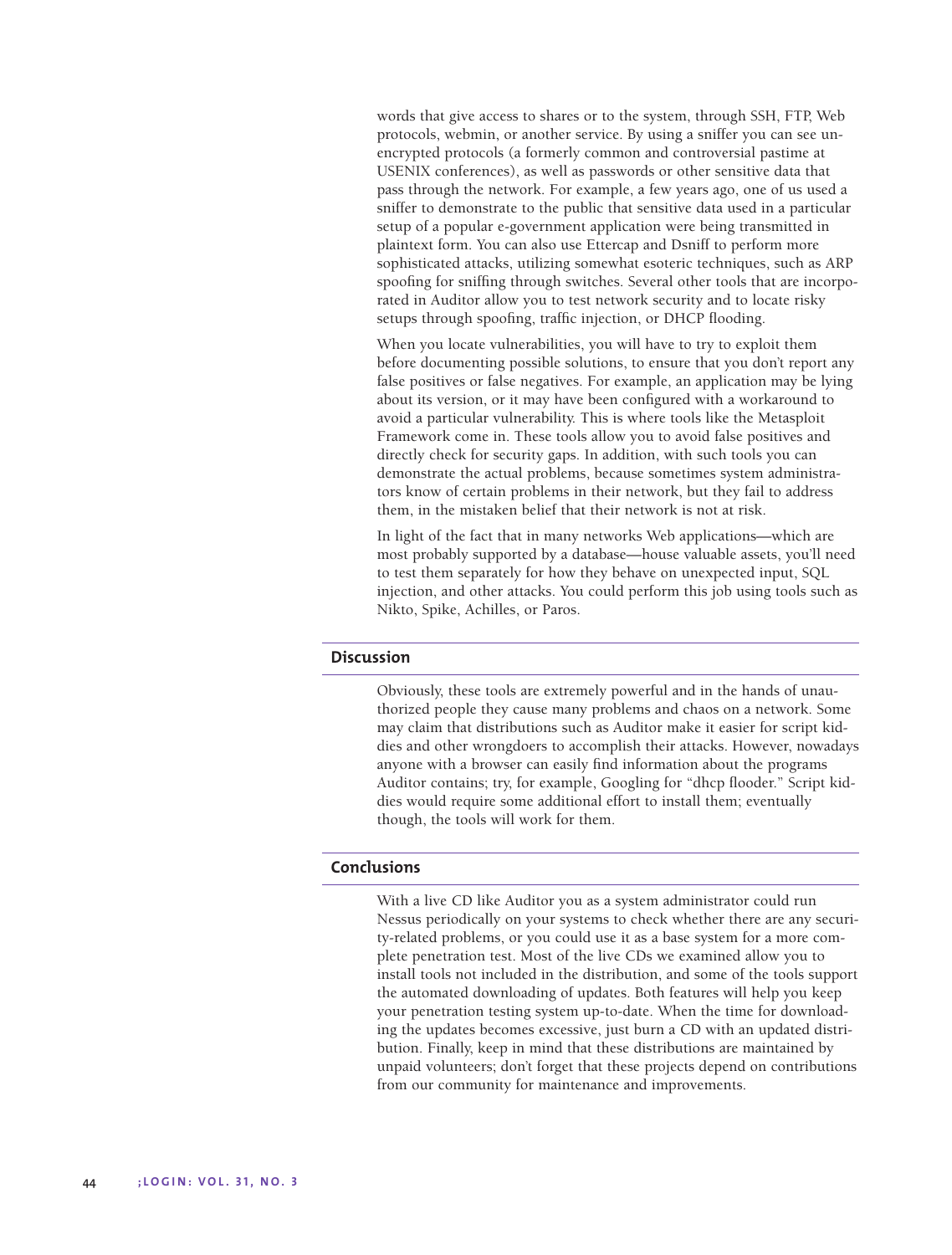words that give access to shares or to the system, through SSH, FTP, Web protocols, webmin, or another service. By using a sniffer you can see unencrypted protocols (a formerly common and controversial pastime at USENIX conferences), as well as passwords or other sensitive data that pass through the network. For example, a few years ago, one of us used a sniffer to demonstrate to the public that sensitive data used in a particular setup of a popular e-government application were being transmitted in plaintext form. You can also use Ettercap and Dsniff to perform more sophisticated attacks, utilizing somewhat esoteric techniques, such as ARP spoofing for sniffing through switches. Several other tools that are incorporated in Auditor allow you to test network security and to locate risky setups through spoofing, traffic injection, or DHCP flooding.

When you locate vulnerabilities, you will have to try to exploit them before documenting possible solutions, to ensure that you don't report any false positives or false negatives. For example, an application may be lying about its version, or it may have been configured with a workaround to avoid a particular vulnerability. This is where tools like the Metasploit Framework come in. These tools allow you to avoid false positives and directly check for security gaps. In addition, with such tools you can demonstrate the actual problems, because sometimes system administrators know of certain problems in their network, but they fail to address them, in the mistaken belief that their network is not at risk.

In light of the fact that in many networks Web applications—which are most probably supported by a database—house valuable assets, you'll need to test them separately for how they behave on unexpected input, SQL injection, and other attacks. You could perform this job using tools such as Nikto, Spike, Achilles, or Paros.

#### **Discussion**

Obviously, these tools are extremely powerful and in the hands of unauthorized people they cause many problems and chaos on a network. Some may claim that distributions such as Auditor make it easier for script kiddies and other wrongdoers to accomplish their attacks. However, nowadays anyone with a browser can easily find information about the programs Auditor contains; try, for example, Googling for "dhcp flooder." Script kiddies would require some additional effort to install them; eventually though, the tools will work for them.

# **Conclusions**

With a live CD like Auditor you as a system administrator could run Nessus periodically on your systems to check whether there are any security-related problems, or you could use it as a base system for a more complete penetration test. Most of the live CDs we examined allow you to install tools not included in the distribution, and some of the tools support the automated downloading of updates. Both features will help you keep your penetration testing system up-to-date. When the time for downloading the updates becomes excessive, just burn a CD with an updated distribution. Finally, keep in mind that these distributions are maintained by unpaid volunteers; don't forget that these projects depend on contributions from our community for maintenance and improvements.